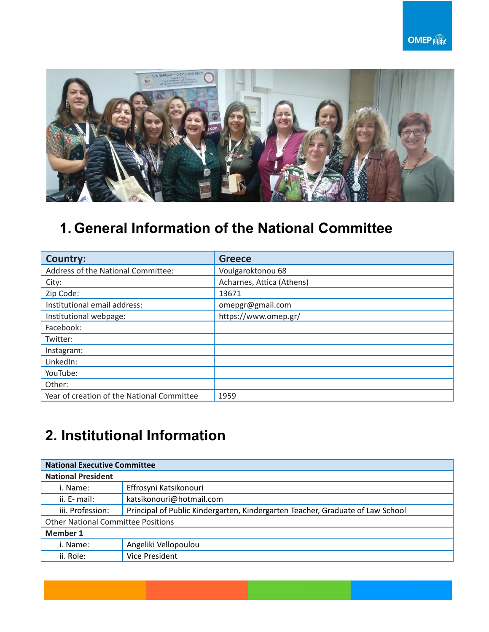

## **1. General Information of the National Committee**

| Country:                                   | <b>Greece</b>             |
|--------------------------------------------|---------------------------|
| Address of the National Committee:         | Voulgaroktonou 68         |
| City:                                      | Acharnes, Attica (Athens) |
| Zip Code:                                  | 13671                     |
| Institutional email address:               | omepgr@gmail.com          |
| Institutional webpage:                     | https://www.omep.gr/      |
| Facebook:                                  |                           |
| Twitter:                                   |                           |
| Instagram:                                 |                           |
| LinkedIn:                                  |                           |
| YouTube:                                   |                           |
| Other:                                     |                           |
| Year of creation of the National Committee | 1959                      |

## **2. Institutional Information**

| <b>National Executive Committee</b>       |                                                                                |  |  |  |
|-------------------------------------------|--------------------------------------------------------------------------------|--|--|--|
| <b>National President</b>                 |                                                                                |  |  |  |
| i. Name:                                  | Effrosyni Katsikonouri                                                         |  |  |  |
| ii. E- mail:                              | katsikonouri@hotmail.com                                                       |  |  |  |
| iii. Profession:                          | Principal of Public Kindergarten, Kindergarten Teacher, Graduate of Law School |  |  |  |
| <b>Other National Committee Positions</b> |                                                                                |  |  |  |
| <b>Member 1</b>                           |                                                                                |  |  |  |
| i. Name:                                  | Angeliki Vellopoulou                                                           |  |  |  |
| ii. Role:                                 | Vice President                                                                 |  |  |  |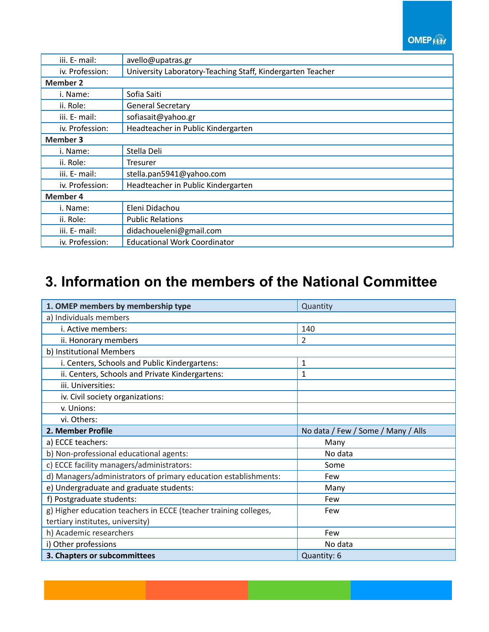**OMEP KHA** 

| iii. E- mail:   | avello@upatras.gr                                          |  |  |
|-----------------|------------------------------------------------------------|--|--|
| iv. Profession: | University Laboratory-Teaching Staff, Kindergarten Teacher |  |  |
| <b>Member 2</b> |                                                            |  |  |
| i. Name:        | Sofia Saiti                                                |  |  |
| ii. Role:       | <b>General Secretary</b>                                   |  |  |
| iii. E- mail:   | sofiasait@yahoo.gr                                         |  |  |
| iv. Profession: | Headteacher in Public Kindergarten                         |  |  |
| <b>Member 3</b> |                                                            |  |  |
| i. Name:        | Stella Deli                                                |  |  |
| ii. Role:       | <b>Tresurer</b>                                            |  |  |
| iii. E- mail:   | stella.pan5941@yahoo.com                                   |  |  |
| iv. Profession: | Headteacher in Public Kindergarten                         |  |  |
| <b>Member 4</b> |                                                            |  |  |
| i. Name:        | Eleni Didachou                                             |  |  |
| ii. Role:       | <b>Public Relations</b>                                    |  |  |
| iii. E- mail:   | didachoueleni@gmail.com                                    |  |  |
| iv. Profession: | <b>Educational Work Coordinator</b>                        |  |  |

## **3. Information on the members of the National Committee**

| 1. OMEP members by membership type                               | Quantity                           |  |  |
|------------------------------------------------------------------|------------------------------------|--|--|
| a) Individuals members                                           |                                    |  |  |
| i. Active members:                                               | 140                                |  |  |
| ii. Honorary members                                             | $\overline{2}$                     |  |  |
| b) Institutional Members                                         |                                    |  |  |
| i. Centers, Schools and Public Kindergartens:                    | 1                                  |  |  |
| ii. Centers, Schools and Private Kindergartens:                  | 1                                  |  |  |
| iii. Universities:                                               |                                    |  |  |
| iv. Civil society organizations:                                 |                                    |  |  |
| v. Unions:                                                       |                                    |  |  |
| vi. Others:                                                      |                                    |  |  |
| 2. Member Profile                                                | No data / Few / Some / Many / Alls |  |  |
| a) ECCE teachers:                                                | Many                               |  |  |
| b) Non-professional educational agents:                          | No data                            |  |  |
| c) ECCE facility managers/administrators:                        | Some                               |  |  |
| d) Managers/administrators of primary education establishments:  | Few                                |  |  |
| e) Undergraduate and graduate students:                          | Many                               |  |  |
| f) Postgraduate students:                                        | Few                                |  |  |
| g) Higher education teachers in ECCE (teacher training colleges, | Few                                |  |  |
| tertiary institutes, university)                                 |                                    |  |  |
| h) Academic researchers                                          | Few                                |  |  |
| i) Other professions                                             | No data                            |  |  |
| 3. Chapters or subcommittees                                     | Quantity: 6                        |  |  |